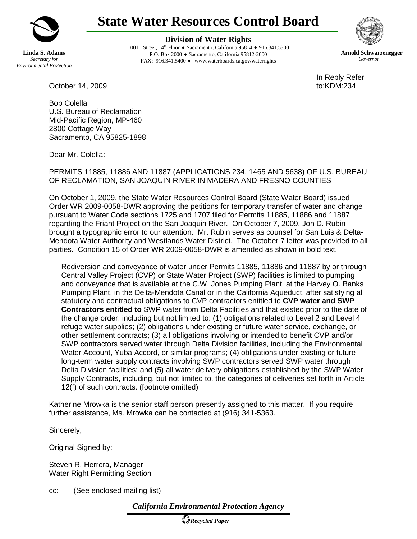

**Linda S. Adams** *Secretary for Environmental Protection* **State Water Resources Control Board**

**Division of Water Rights**

1001 I Street, 14th Floor ♦ Sacramento, California 95814 ♦ 916.341.5300 P.O. Box 2000 ♦ Sacramento, California 95812-2000 FAX: 916.341.5400 ♦ www.waterboards.ca.gov/waterrights



**Arnold Schwarzenegger** *Governor*

In Reply Refer

October 14, 2009 **to:KDM:234** 

Bob Colella U.S. Bureau of Reclamation Mid-Pacific Region, MP-460 2800 Cottage Way Sacramento, CA 95825-1898

Dear Mr. Colella:

PERMITS 11885, 11886 AND 11887 (APPLICATIONS 234, 1465 AND 5638) OF U.S. BUREAU OF RECLAMATION, SAN JOAQUIN RIVER IN MADERA AND FRESNO COUNTIES

On October 1, 2009, the State Water Resources Control Board (State Water Board) issued Order WR 2009-0058-DWR approving the petitions for temporary transfer of water and change pursuant to Water Code sections 1725 and 1707 filed for Permits 11885, 11886 and 11887 regarding the Friant Project on the San Joaquin River. On October 7, 2009, Jon D. Rubin brought a typographic error to our attention. Mr. Rubin serves as counsel for San Luis & Delta-Mendota Water Authority and Westlands Water District. The October 7 letter was provided to all parties. Condition 15 of Order WR 2009-0058-DWR is amended as shown in bold text.

Rediversion and conveyance of water under Permits 11885, 11886 and 11887 by or through Central Valley Project (CVP) or State Water Project (SWP) facilities is limited to pumping and conveyance that is available at the C.W. Jones Pumping Plant, at the Harvey O. Banks Pumping Plant, in the Delta-Mendota Canal or in the California Aqueduct, after satisfying all statutory and contractual obligations to CVP contractors entitled to **CVP water and SWP Contractors entitled to** SWP water from Delta Facilities and that existed prior to the date of the change order, including but not limited to: (1) obligations related to Level 2 and Level 4 refuge water supplies; (2) obligations under existing or future water service, exchange, or other settlement contracts; (3) all obligations involving or intended to benefit CVP and/or SWP contractors served water through Delta Division facilities, including the Environmental Water Account, Yuba Accord, or similar programs; (4) obligations under existing or future long-term water supply contracts involving SWP contractors served SWP water through Delta Division facilities; and (5) all water delivery obligations established by the SWP Water Supply Contracts, including, but not limited to, the categories of deliveries set forth in Article 12(f) of such contracts. (footnote omitted)

Katherine Mrowka is the senior staff person presently assigned to this matter. If you require further assistance, Ms. Mrowka can be contacted at (916) 341-5363.

Sincerely,

Original Signed by:

Steven R. Herrera, Manager Water Right Permitting Section

cc: (See enclosed mailing list)

*California Environmental Protection Agency*